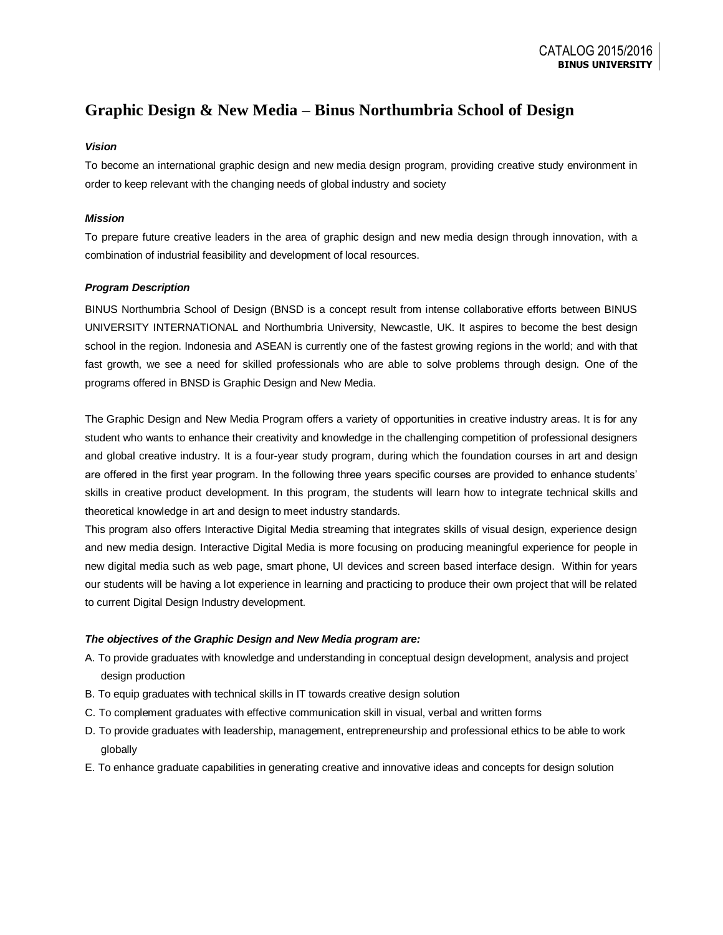# **Graphic Design & New Media – Binus Northumbria School of Design**

## *Vision*

To become an international graphic design and new media design program, providing creative study environment in order to keep relevant with the changing needs of global industry and society

## *Mission*

To prepare future creative leaders in the area of graphic design and new media design through innovation, with a combination of industrial feasibility and development of local resources.

## *Program Description*

BINUS Northumbria School of Design (BNSD is a concept result from intense collaborative efforts between BINUS UNIVERSITY INTERNATIONAL and Northumbria University, Newcastle, UK. It aspires to become the best design school in the region. Indonesia and ASEAN is currently one of the fastest growing regions in the world; and with that fast growth, we see a need for skilled professionals who are able to solve problems through design. One of the programs offered in BNSD is Graphic Design and New Media.

The Graphic Design and New Media Program offers a variety of opportunities in creative industry areas. It is for any student who wants to enhance their creativity and knowledge in the challenging competition of professional designers and global creative industry. It is a four-year study program, during which the foundation courses in art and design are offered in the first year program. In the following three years specific courses are provided to enhance students' skills in creative product development. In this program, the students will learn how to integrate technical skills and theoretical knowledge in art and design to meet industry standards.

This program also offers Interactive Digital Media streaming that integrates skills of visual design, experience design and new media design. Interactive Digital Media is more focusing on producing meaningful experience for people in new digital media such as web page, smart phone, UI devices and screen based interface design. Within for years our students will be having a lot experience in learning and practicing to produce their own project that will be related to current Digital Design Industry development.

### *The objectives of the Graphic Design and New Media program are:*

- A. To provide graduates with knowledge and understanding in conceptual design development, analysis and project design production
- B. To equip graduates with technical skills in IT towards creative design solution
- C. To complement graduates with effective communication skill in visual, verbal and written forms
- D. To provide graduates with leadership, management, entrepreneurship and professional ethics to be able to work globally
- E. To enhance graduate capabilities in generating creative and innovative ideas and concepts for design solution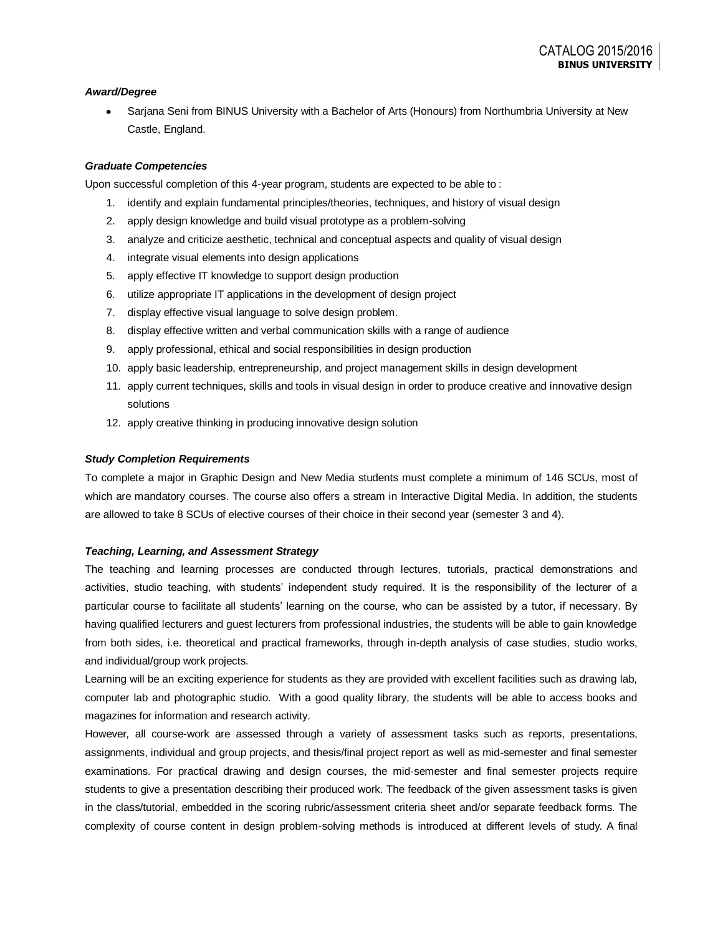## *Award/Degree*

Sarjana Seni from BINUS University with a Bachelor of Arts (Honours) from Northumbria University at New Castle, England.

## *Graduate Competencies*

Upon successful completion of this 4-year program, students are expected to be able to :

- 1. identify and explain fundamental principles/theories, techniques, and history of visual design
- 2. apply design knowledge and build visual prototype as a problem-solving
- 3. analyze and criticize aesthetic, technical and conceptual aspects and quality of visual design
- 4. integrate visual elements into design applications
- 5. apply effective IT knowledge to support design production
- 6. utilize appropriate IT applications in the development of design project
- 7. display effective visual language to solve design problem.
- 8. display effective written and verbal communication skills with a range of audience
- 9. apply professional, ethical and social responsibilities in design production
- 10. apply basic leadership, entrepreneurship, and project management skills in design development
- 11. apply current techniques, skills and tools in visual design in order to produce creative and innovative design solutions
- 12. apply creative thinking in producing innovative design solution

#### *Study Completion Requirements*

To complete a major in Graphic Design and New Media students must complete a minimum of 146 SCUs, most of which are mandatory courses. The course also offers a stream in Interactive Digital Media. In addition, the students are allowed to take 8 SCUs of elective courses of their choice in their second year (semester 3 and 4).

#### *Teaching, Learning, and Assessment Strategy*

The teaching and learning processes are conducted through lectures, tutorials, practical demonstrations and activities, studio teaching, with students' independent study required. It is the responsibility of the lecturer of a particular course to facilitate all students' learning on the course, who can be assisted by a tutor, if necessary. By having qualified lecturers and guest lecturers from professional industries, the students will be able to gain knowledge from both sides, i.e. theoretical and practical frameworks, through in-depth analysis of case studies, studio works, and individual/group work projects.

Learning will be an exciting experience for students as they are provided with excellent facilities such as drawing lab, computer lab and photographic studio. With a good quality library, the students will be able to access books and magazines for information and research activity.

However, all course-work are assessed through a variety of assessment tasks such as reports, presentations, assignments, individual and group projects, and thesis/final project report as well as mid-semester and final semester examinations. For practical drawing and design courses, the mid-semester and final semester projects require students to give a presentation describing their produced work. The feedback of the given assessment tasks is given in the class/tutorial, embedded in the scoring rubric/assessment criteria sheet and/or separate feedback forms. The complexity of course content in design problem-solving methods is introduced at different levels of study. A final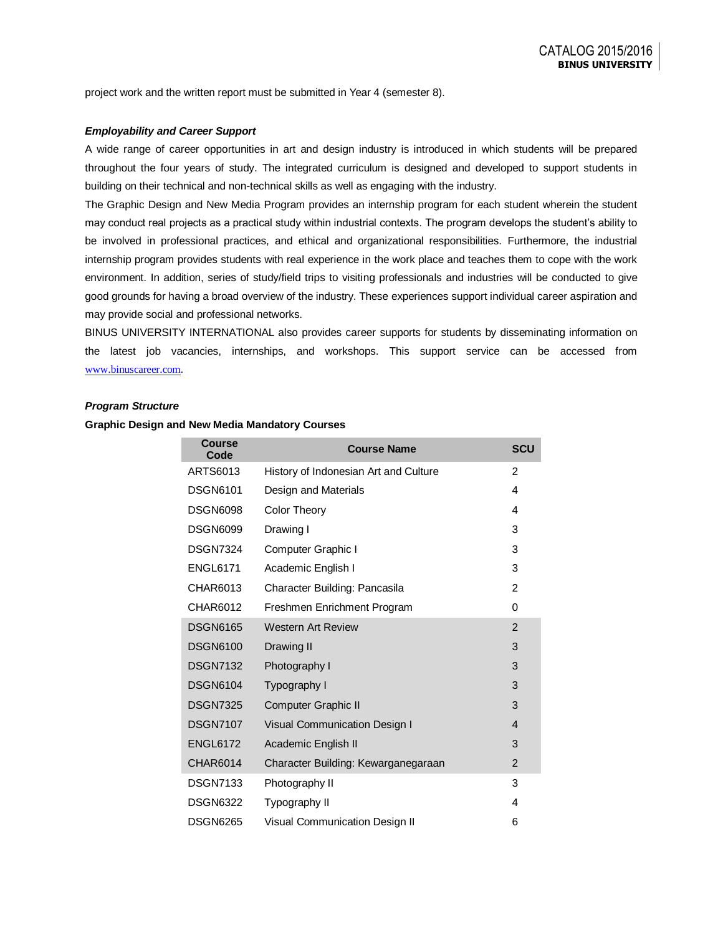project work and the written report must be submitted in Year 4 (semester 8).

#### *Employability and Career Support*

A wide range of career opportunities in art and design industry is introduced in which students will be prepared throughout the four years of study. The integrated curriculum is designed and developed to support students in building on their technical and non-technical skills as well as engaging with the industry.

The Graphic Design and New Media Program provides an internship program for each student wherein the student may conduct real projects as a practical study within industrial contexts. The program develops the student's ability to be involved in professional practices, and ethical and organizational responsibilities. Furthermore, the industrial internship program provides students with real experience in the work place and teaches them to cope with the work environment. In addition, series of study/field trips to visiting professionals and industries will be conducted to give good grounds for having a broad overview of the industry. These experiences support individual career aspiration and may provide social and professional networks.

BINUS UNIVERSITY INTERNATIONAL also provides career supports for students by disseminating information on the latest job vacancies, internships, and workshops. This support service can be accessed from [www.binuscareer.com](http://www.binuscareer.com/).

#### *Program Structure*

#### **Graphic Design and New Media Mandatory Courses**

| <b>Course</b><br>Code | <b>Course Name</b>                    |                | <b>SCU</b> |
|-----------------------|---------------------------------------|----------------|------------|
| ARTS6013              | History of Indonesian Art and Culture | 2              |            |
| <b>DSGN6101</b>       | Design and Materials                  | 4              |            |
| <b>DSGN6098</b>       | Color Theory                          | 4              |            |
| <b>DSGN6099</b>       | Drawing I                             | 3              |            |
| <b>DSGN7324</b>       | Computer Graphic I                    | 3              |            |
| <b>ENGL6171</b>       | Academic English I                    | 3              |            |
| CHAR6013              | Character Building: Pancasila         | 2              |            |
| CHAR6012              | Freshmen Enrichment Program           | 0              |            |
| <b>DSGN6165</b>       | <b>Western Art Review</b>             | $\overline{2}$ |            |
| <b>DSGN6100</b>       | Drawing II                            | 3              |            |
| <b>DSGN7132</b>       | Photography I                         | 3              |            |
| <b>DSGN6104</b>       | Typography I                          | 3              |            |
| <b>DSGN7325</b>       | Computer Graphic II                   | 3              |            |
| <b>DSGN7107</b>       | Visual Communication Design I         | 4              |            |
| <b>ENGL6172</b>       | Academic English II                   | 3              |            |
| <b>CHAR6014</b>       | Character Building: Kewarganegaraan   | $\overline{2}$ |            |
| <b>DSGN7133</b>       | Photography II                        | 3              |            |
| <b>DSGN6322</b>       | Typography II                         | 4              |            |
| <b>DSGN6265</b>       | <b>Visual Communication Design II</b> | 6              |            |